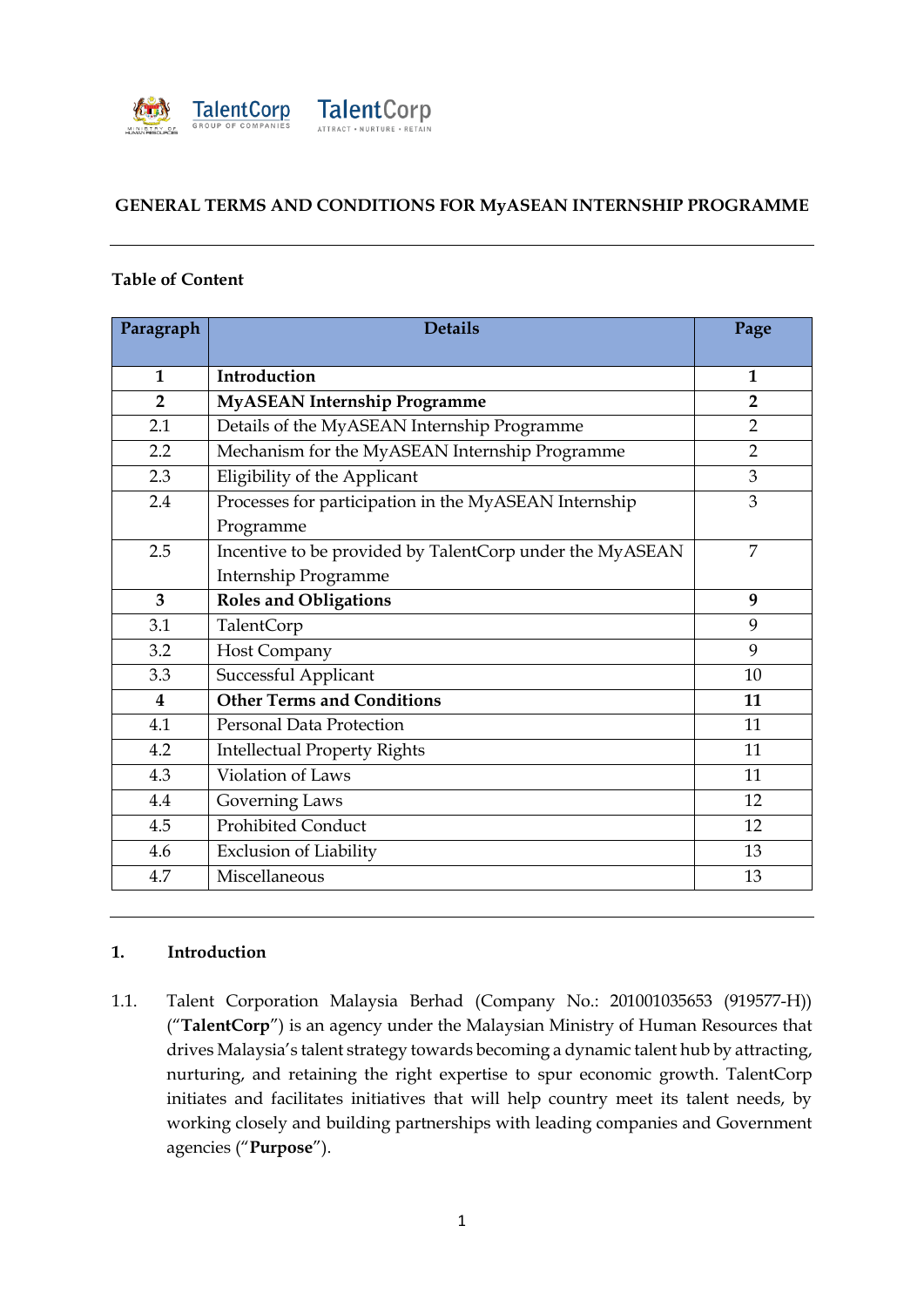

### **GENERAL TERMS AND CONDITIONS FOR MyASEAN INTERNSHIP PROGRAMME**

#### **Table of Content**

| Paragraph               | <b>Details</b>                                           | Page           |
|-------------------------|----------------------------------------------------------|----------------|
| $\mathbf{1}$            | Introduction                                             | $\mathbf{1}$   |
| $\overline{2}$          | <b>MyASEAN Internship Programme</b>                      | $\overline{2}$ |
| 2.1                     | Details of the MyASEAN Internship Programme              | $\overline{2}$ |
| 2.2                     | Mechanism for the MyASEAN Internship Programme           | $\overline{2}$ |
| 2.3                     | Eligibility of the Applicant                             | 3              |
| 2.4                     | Processes for participation in the MyASEAN Internship    | 3              |
|                         | Programme                                                |                |
| 2.5                     | Incentive to be provided by TalentCorp under the MyASEAN | 7              |
|                         | Internship Programme                                     |                |
| 3                       | <b>Roles and Obligations</b>                             | 9              |
| 3.1                     | TalentCorp                                               | 9              |
| 3.2                     | Host Company                                             | 9              |
| 3.3                     | Successful Applicant                                     | 10             |
| $\overline{\mathbf{4}}$ | <b>Other Terms and Conditions</b>                        | 11             |
| 4.1                     | <b>Personal Data Protection</b>                          | 11             |
| 4.2                     | <b>Intellectual Property Rights</b>                      | 11             |
| 4.3                     | Violation of Laws                                        | 11             |
| 4.4                     | Governing Laws                                           | 12             |
| 4.5                     | <b>Prohibited Conduct</b>                                | 12             |
| 4.6                     | <b>Exclusion of Liability</b>                            | 13             |
| 4.7                     | Miscellaneous                                            | 13             |

### **1. Introduction**

1.1. Talent Corporation Malaysia Berhad (Company No.: 201001035653 (919577-H)) ("**TalentCorp**") is an agency under the Malaysian Ministry of Human Resources that drives Malaysia's talent strategy towards becoming a dynamic talent hub by attracting, nurturing, and retaining the right expertise to spur economic growth. TalentCorp initiates and facilitates initiatives that will help country meet its talent needs, by working closely and building partnerships with leading companies and Government agencies ("**Purpose**").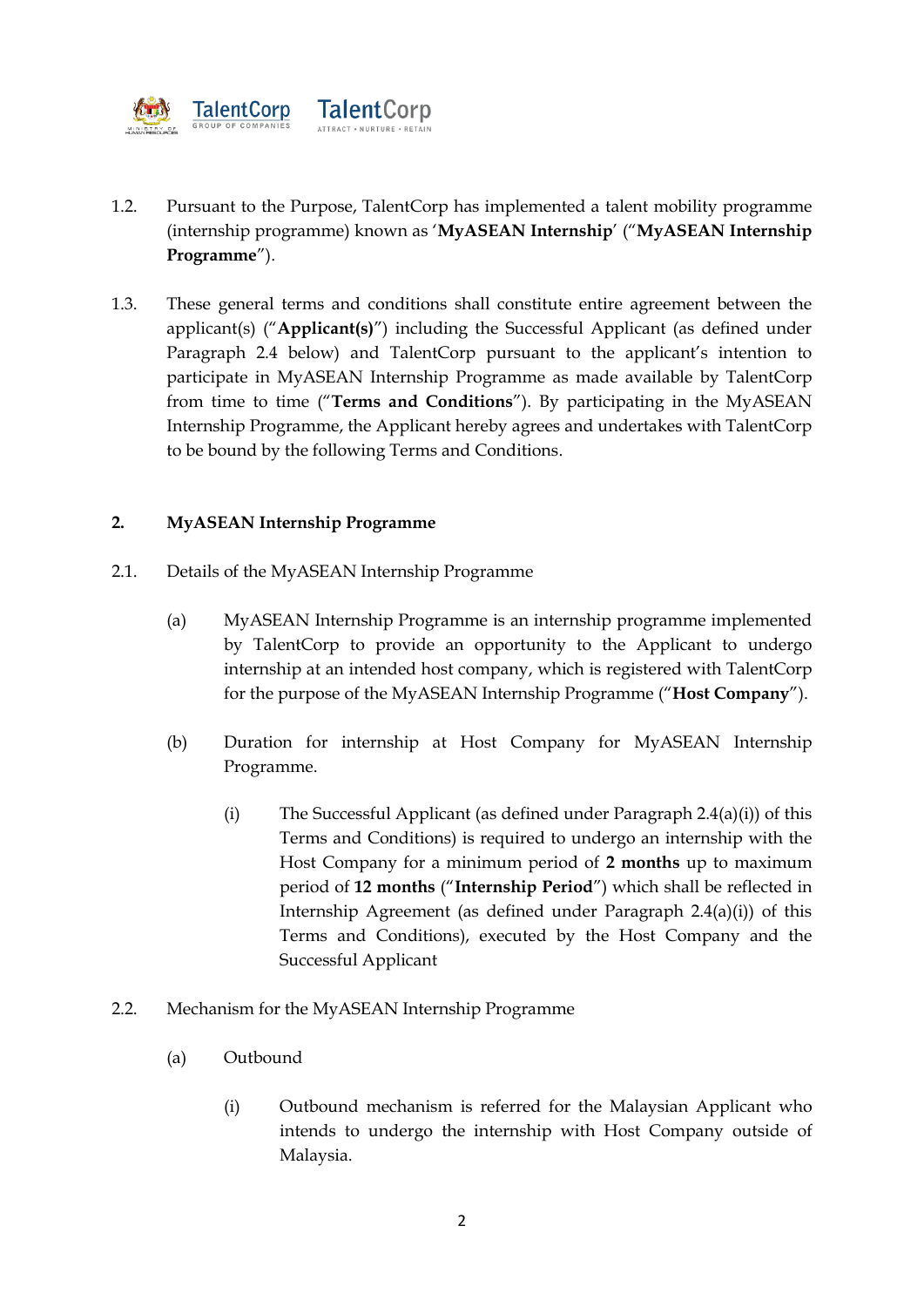

- 1.2. Pursuant to the Purpose, TalentCorp has implemented a talent mobility programme (internship programme) known as '**MyASEAN Internship**' ("**MyASEAN Internship Programme**").
- 1.3. These general terms and conditions shall constitute entire agreement between the applicant(s) ("**Applicant(s)**") including the Successful Applicant (as defined under Paragraph 2.4 below) and TalentCorp pursuant to the applicant's intention to participate in MyASEAN Internship Programme as made available by TalentCorp from time to time ("**Terms and Conditions**"). By participating in the MyASEAN Internship Programme, the Applicant hereby agrees and undertakes with TalentCorp to be bound by the following Terms and Conditions.

# **2. MyASEAN Internship Programme**

- 2.1. Details of the MyASEAN Internship Programme
	- (a) MyASEAN Internship Programme is an internship programme implemented by TalentCorp to provide an opportunity to the Applicant to undergo internship at an intended host company, which is registered with TalentCorp for the purpose of the MyASEAN Internship Programme ("**Host Company**").
	- (b) Duration for internship at Host Company for MyASEAN Internship Programme.
		- (i) The Successful Applicant (as defined under Paragraph 2.4(a)(i)) of this Terms and Conditions) is required to undergo an internship with the Host Company for a minimum period of **2 months** up to maximum period of **12 months** ("**Internship Period**") which shall be reflected in Internship Agreement (as defined under Paragraph 2.4(a)(i)) of this Terms and Conditions), executed by the Host Company and the Successful Applicant
- 2.2. Mechanism for the MyASEAN Internship Programme
	- (a) Outbound
		- (i) Outbound mechanism is referred for the Malaysian Applicant who intends to undergo the internship with Host Company outside of Malaysia.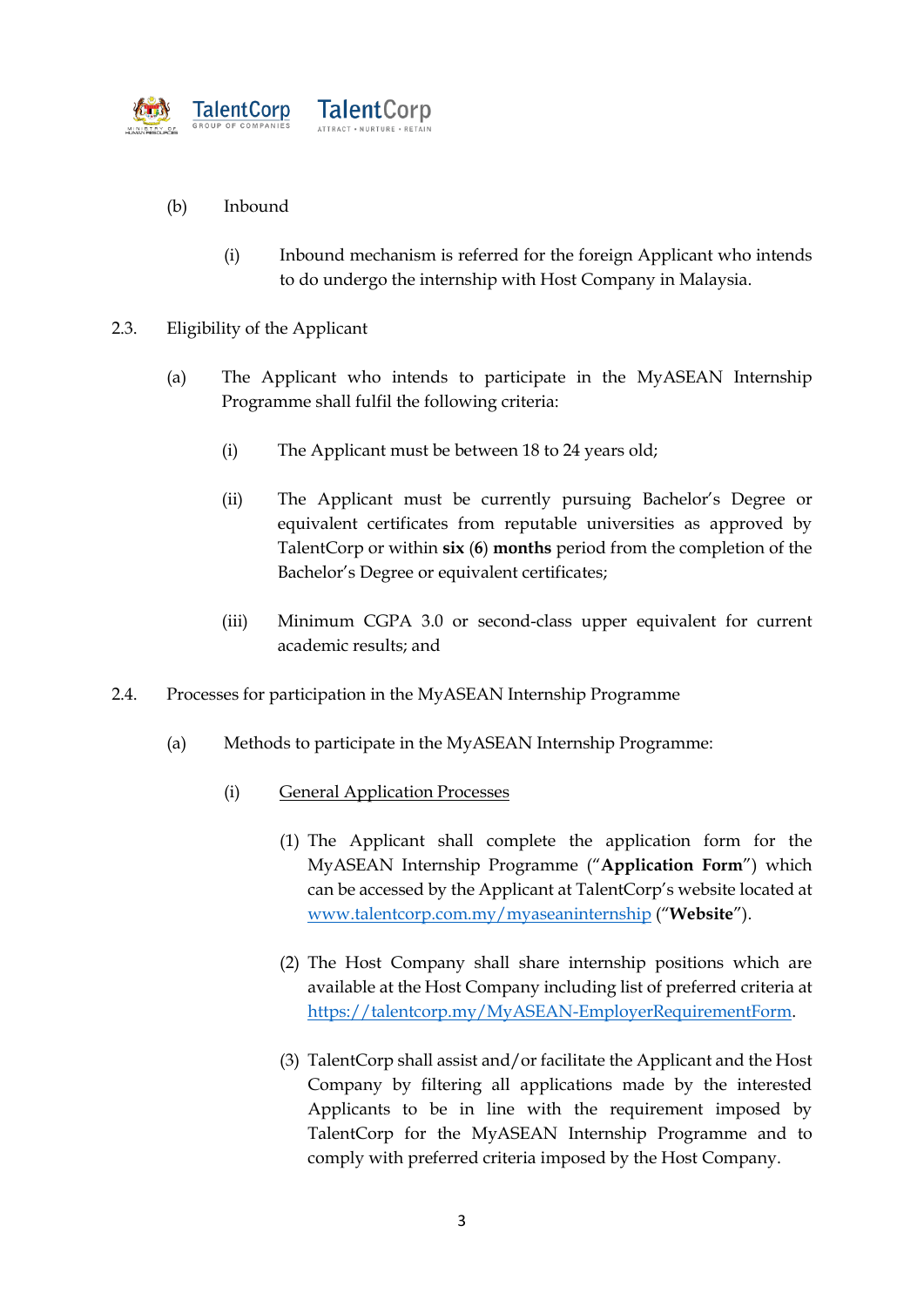

# (b) Inbound

- (i) Inbound mechanism is referred for the foreign Applicant who intends to do undergo the internship with Host Company in Malaysia.
- 2.3. Eligibility of the Applicant
	- (a) The Applicant who intends to participate in the MyASEAN Internship Programme shall fulfil the following criteria:
		- (i) The Applicant must be between 18 to 24 years old;
		- (ii) The Applicant must be currently pursuing Bachelor's Degree or equivalent certificates from reputable universities as approved by TalentCorp or within **six** (**6**) **months** period from the completion of the Bachelor's Degree or equivalent certificates;
		- (iii) Minimum CGPA 3.0 or second-class upper equivalent for current academic results; and
- 2.4. Processes for participation in the MyASEAN Internship Programme
	- (a) Methods to participate in the MyASEAN Internship Programme:
		- (i) General Application Processes
			- (1) The Applicant shall complete the application form for the MyASEAN Internship Programme ("**Application Form**") which can be accessed by the Applicant at TalentCorp's website located at [www.talentcorp.com.my/myaseaninternship](http://www.talentcorp.com.my/myaseaninternship) ("**Website**").
			- (2) The Host Company shall share internship positions which are available at the Host Company including list of preferred criteria at [https://talentcorp.my/MyASEAN-EmployerRequirementForm.](https://talentcorp.my/MyASEAN-EmployerRequirementForm)
			- (3) TalentCorp shall assist and/or facilitate the Applicant and the Host Company by filtering all applications made by the interested Applicants to be in line with the requirement imposed by TalentCorp for the MyASEAN Internship Programme and to comply with preferred criteria imposed by the Host Company.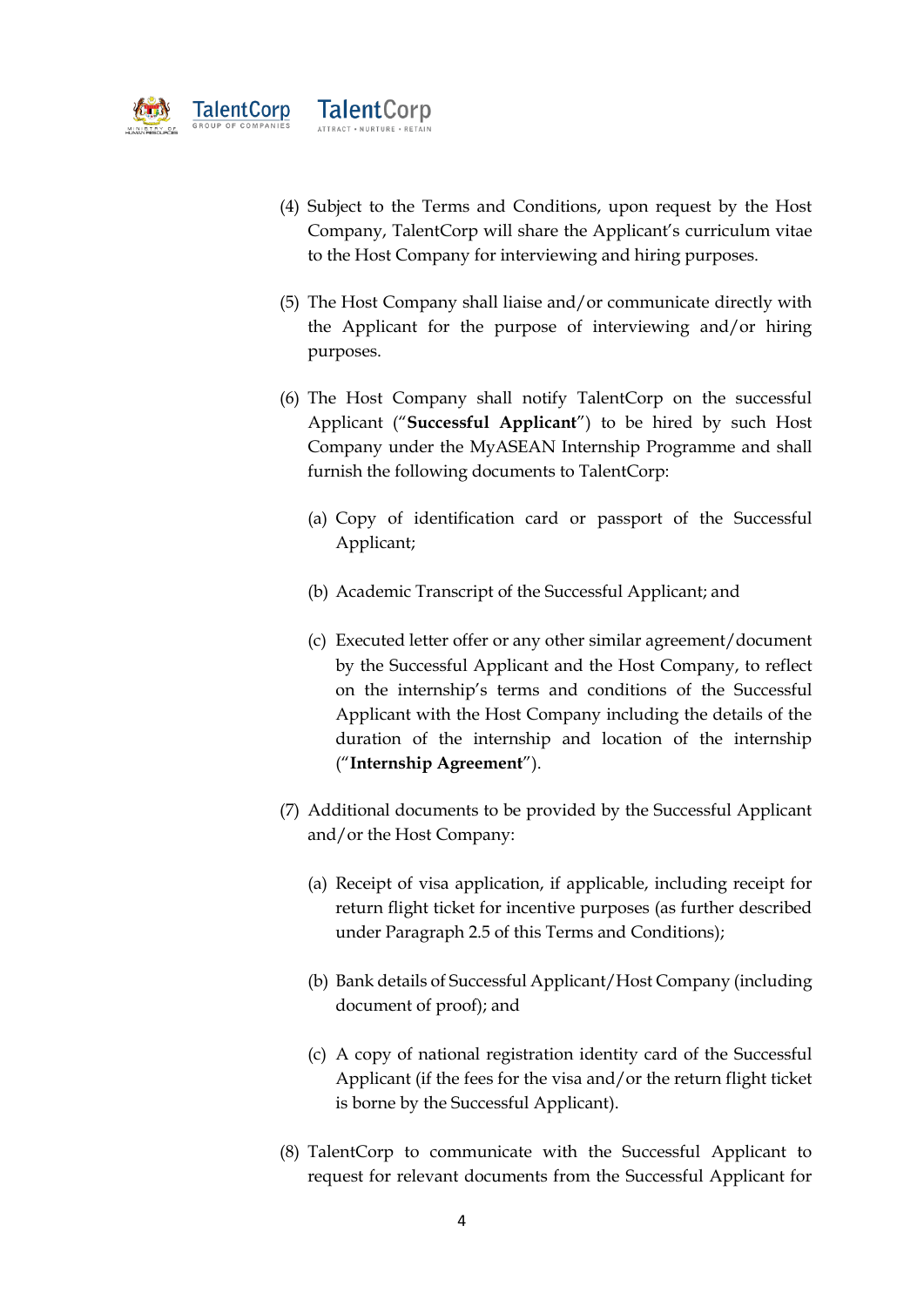

- (4) Subject to the Terms and Conditions, upon request by the Host Company, TalentCorp will share the Applicant's curriculum vitae to the Host Company for interviewing and hiring purposes.
- (5) The Host Company shall liaise and/or communicate directly with the Applicant for the purpose of interviewing and/or hiring purposes.
- (6) The Host Company shall notify TalentCorp on the successful Applicant ("**Successful Applicant**") to be hired by such Host Company under the MyASEAN Internship Programme and shall furnish the following documents to TalentCorp:
	- (a) Copy of identification card or passport of the Successful Applicant;
	- (b) Academic Transcript of the Successful Applicant; and
	- (c) Executed letter offer or any other similar agreement/document by the Successful Applicant and the Host Company, to reflect on the internship's terms and conditions of the Successful Applicant with the Host Company including the details of the duration of the internship and location of the internship ("**Internship Agreement**").
- (7) Additional documents to be provided by the Successful Applicant and/or the Host Company:
	- (a) Receipt of visa application, if applicable, including receipt for return flight ticket for incentive purposes (as further described under Paragraph 2.5 of this Terms and Conditions);
	- (b) Bank details of Successful Applicant/Host Company (including document of proof); and
	- (c) A copy of national registration identity card of the Successful Applicant (if the fees for the visa and/or the return flight ticket is borne by the Successful Applicant).
- (8) TalentCorp to communicate with the Successful Applicant to request for relevant documents from the Successful Applicant for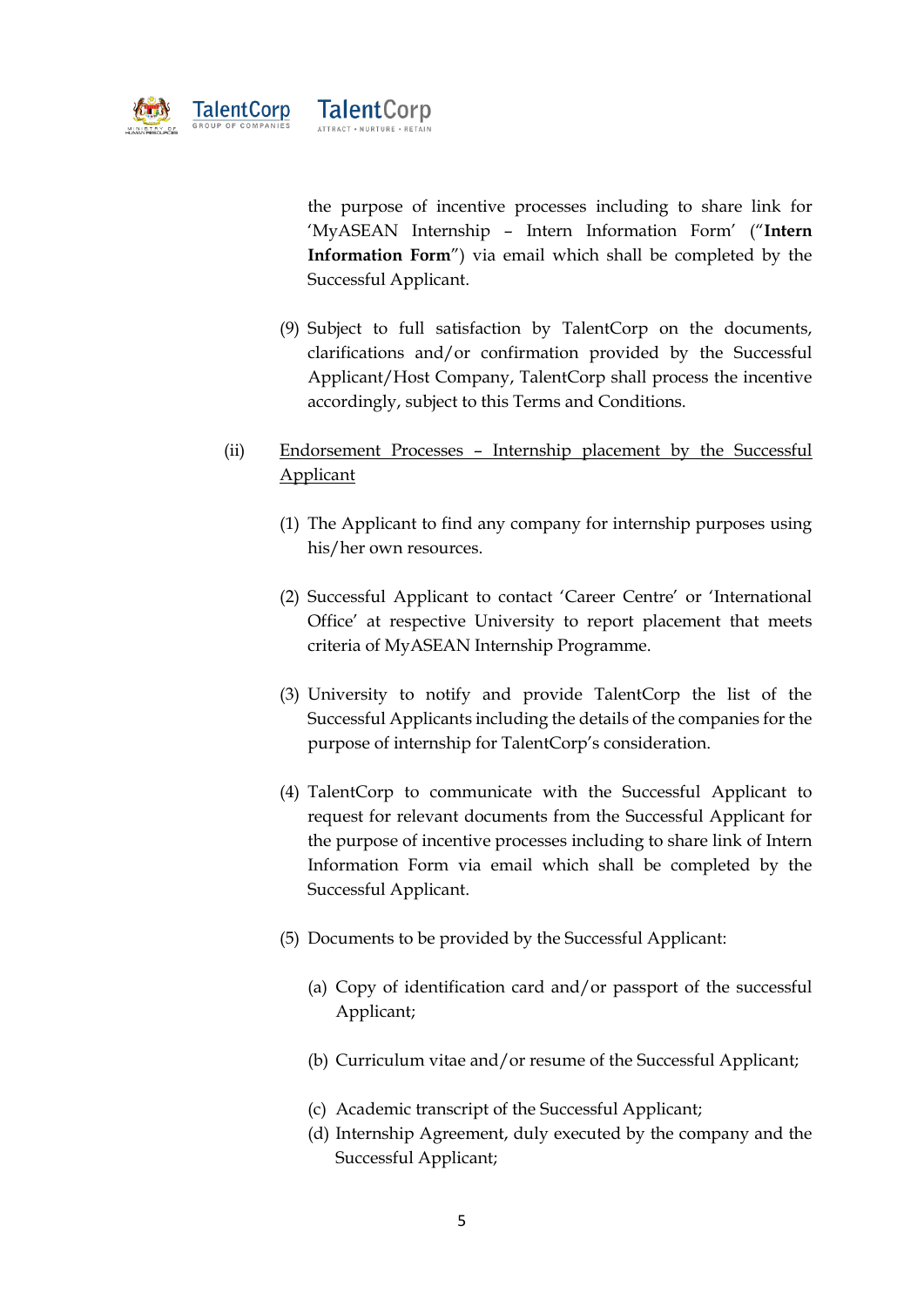

the purpose of incentive processes including to share link for 'MyASEAN Internship – Intern Information Form' ("**Intern Information Form**") via email which shall be completed by the Successful Applicant.

(9) Subject to full satisfaction by TalentCorp on the documents, clarifications and/or confirmation provided by the Successful Applicant/Host Company, TalentCorp shall process the incentive accordingly, subject to this Terms and Conditions.

# (ii) Endorsement Processes – Internship placement by the Successful Applicant

- (1) The Applicant to find any company for internship purposes using his/her own resources.
- (2) Successful Applicant to contact 'Career Centre' or 'International Office' at respective University to report placement that meets criteria of MyASEAN Internship Programme.
- (3) University to notify and provide TalentCorp the list of the Successful Applicants including the details of the companies for the purpose of internship for TalentCorp's consideration.
- (4) TalentCorp to communicate with the Successful Applicant to request for relevant documents from the Successful Applicant for the purpose of incentive processes including to share link of Intern Information Form via email which shall be completed by the Successful Applicant.
- (5) Documents to be provided by the Successful Applicant:
	- (a) Copy of identification card and/or passport of the successful Applicant;
	- (b) Curriculum vitae and/or resume of the Successful Applicant;
	- (c) Academic transcript of the Successful Applicant;
	- (d) Internship Agreement, duly executed by the company and the Successful Applicant;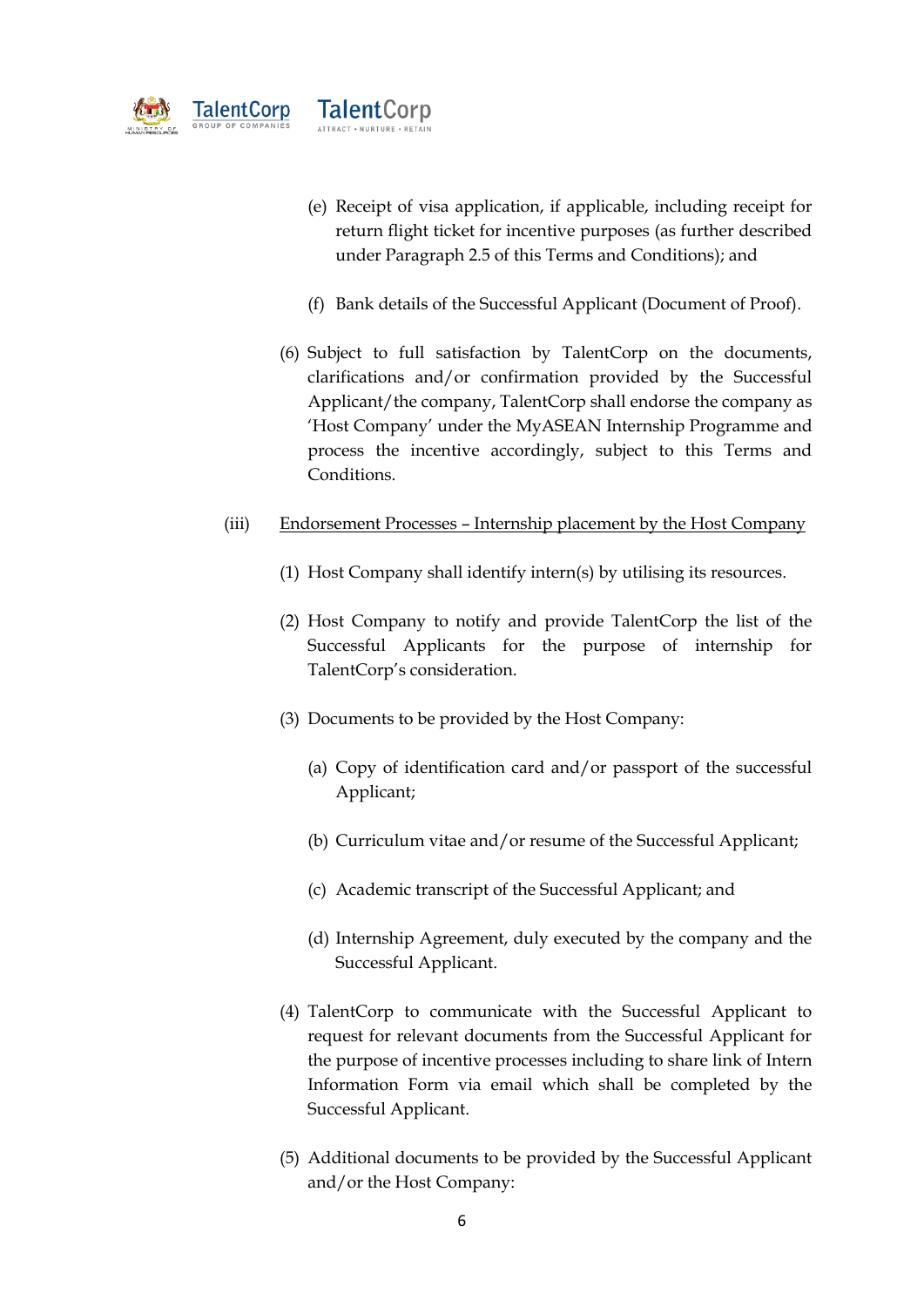

- (e) Receipt of visa application, if applicable, including receipt for return flight ticket for incentive purposes (as further described under Paragraph 2.5 of this Terms and Conditions); and
- (f) Bank details of the Successful Applicant (Document of Proof).
- (6) Subject to full satisfaction by TalentCorp on the documents, clarifications and/or confirmation provided by the Successful Applicant/the company, TalentCorp shall endorse the company as 'Host Company' under the MyASEAN Internship Programme and process the incentive accordingly, subject to this Terms and Conditions.
- (iii) Endorsement Processes Internship placement by the Host Company
	- (1) Host Company shall identify intern(s) by utilising its resources.
	- (2) Host Company to notify and provide TalentCorp the list of the Successful Applicants for the purpose of internship for TalentCorp's consideration.
	- (3) Documents to be provided by the Host Company:
		- (a) Copy of identification card and/or passport of the successful Applicant;
		- (b) Curriculum vitae and/or resume of the Successful Applicant;
		- (c) Academic transcript of the Successful Applicant; and
		- (d) Internship Agreement, duly executed by the company and the Successful Applicant.
	- (4) TalentCorp to communicate with the Successful Applicant to request for relevant documents from the Successful Applicant for the purpose of incentive processes including to share link of Intern Information Form via email which shall be completed by the Successful Applicant.
	- (5) Additional documents to be provided by the Successful Applicant and/or the Host Company: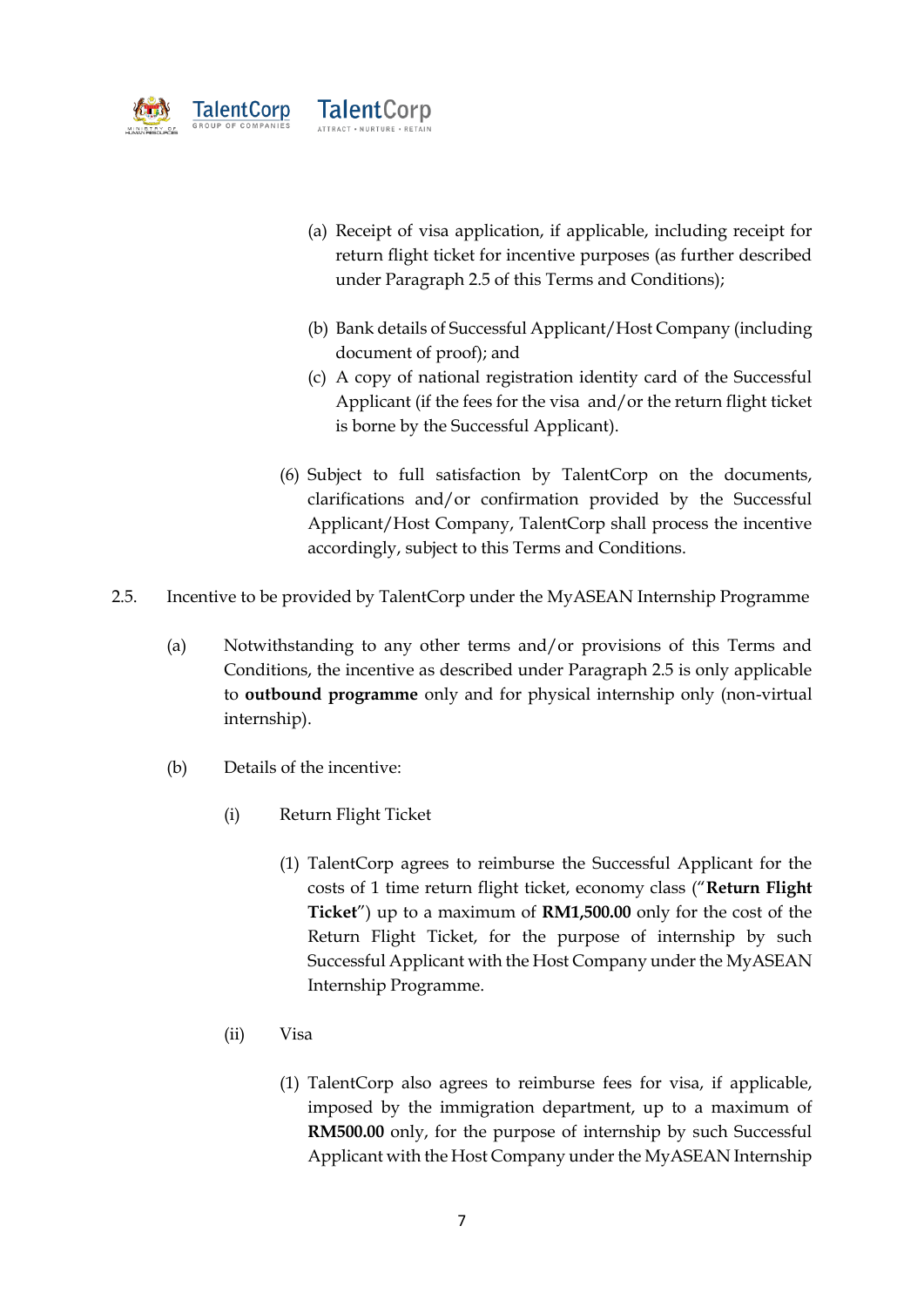

- (a) Receipt of visa application, if applicable, including receipt for return flight ticket for incentive purposes (as further described under Paragraph 2.5 of this Terms and Conditions);
- (b) Bank details of Successful Applicant/Host Company (including document of proof); and
- (c) A copy of national registration identity card of the Successful Applicant (if the fees for the visa and/or the return flight ticket is borne by the Successful Applicant).
- (6) Subject to full satisfaction by TalentCorp on the documents, clarifications and/or confirmation provided by the Successful Applicant/Host Company, TalentCorp shall process the incentive accordingly, subject to this Terms and Conditions.
- 2.5. Incentive to be provided by TalentCorp under the MyASEAN Internship Programme
	- (a) Notwithstanding to any other terms and/or provisions of this Terms and Conditions, the incentive as described under Paragraph 2.5 is only applicable to **outbound programme** only and for physical internship only (non-virtual internship).
	- (b) Details of the incentive:
		- (i) Return Flight Ticket
			- (1) TalentCorp agrees to reimburse the Successful Applicant for the costs of 1 time return flight ticket, economy class ("**Return Flight Ticket**") up to a maximum of **RM1,500.00** only for the cost of the Return Flight Ticket, for the purpose of internship by such Successful Applicant with the Host Company under the MyASEAN Internship Programme.
		- (ii) Visa
			- (1) TalentCorp also agrees to reimburse fees for visa, if applicable, imposed by the immigration department, up to a maximum of **RM500.00** only, for the purpose of internship by such Successful Applicant with the Host Company under the MyASEAN Internship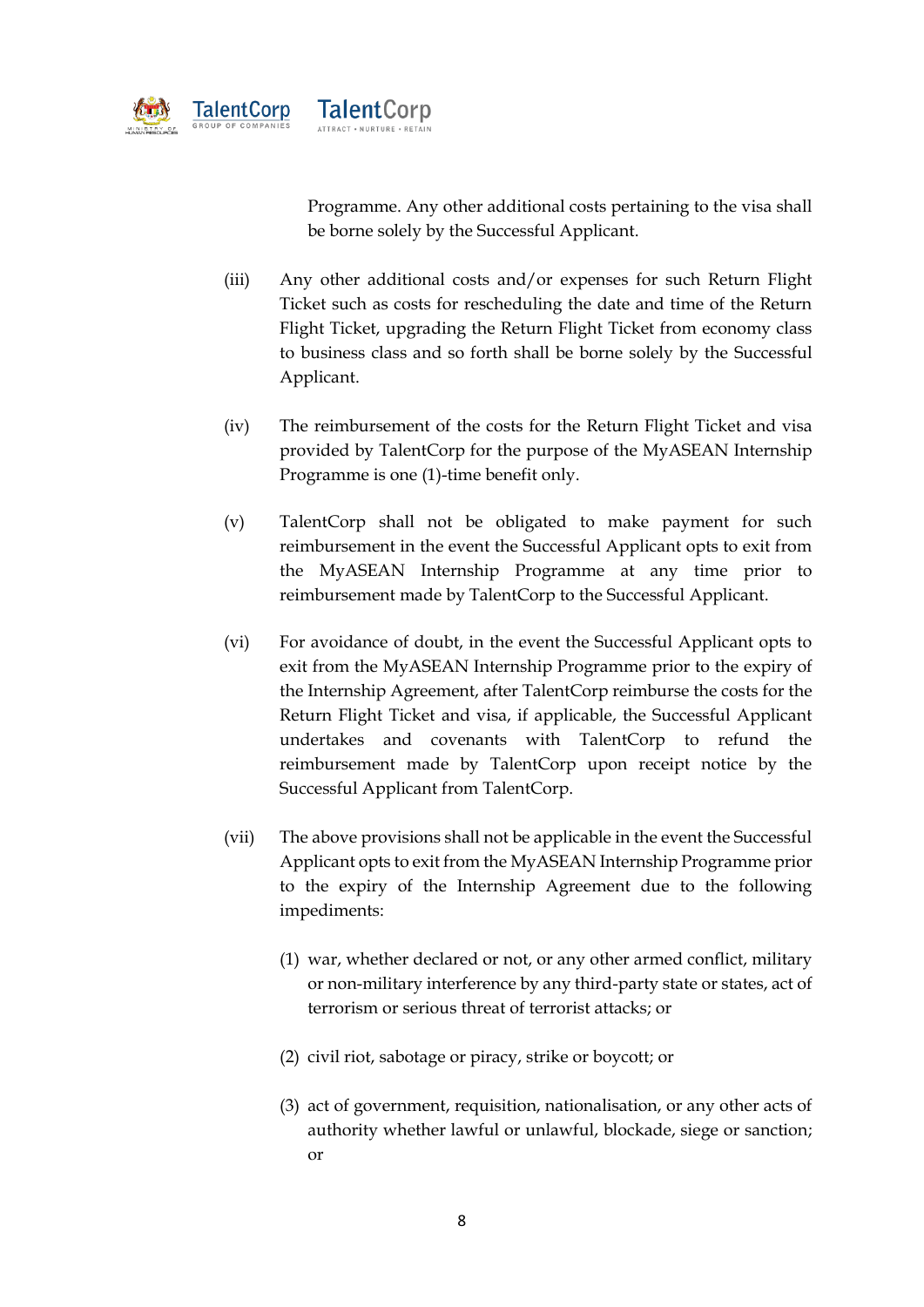

Programme. Any other additional costs pertaining to the visa shall be borne solely by the Successful Applicant.

- (iii) Any other additional costs and/or expenses for such Return Flight Ticket such as costs for rescheduling the date and time of the Return Flight Ticket, upgrading the Return Flight Ticket from economy class to business class and so forth shall be borne solely by the Successful Applicant.
- (iv) The reimbursement of the costs for the Return Flight Ticket and visa provided by TalentCorp for the purpose of the MyASEAN Internship Programme is one (1)-time benefit only.
- (v) TalentCorp shall not be obligated to make payment for such reimbursement in the event the Successful Applicant opts to exit from the MyASEAN Internship Programme at any time prior to reimbursement made by TalentCorp to the Successful Applicant.
- (vi) For avoidance of doubt, in the event the Successful Applicant opts to exit from the MyASEAN Internship Programme prior to the expiry of the Internship Agreement, after TalentCorp reimburse the costs for the Return Flight Ticket and visa, if applicable, the Successful Applicant undertakes and covenants with TalentCorp to refund the reimbursement made by TalentCorp upon receipt notice by the Successful Applicant from TalentCorp.
- (vii) The above provisions shall not be applicable in the event the Successful Applicant opts to exit from the MyASEAN Internship Programme prior to the expiry of the Internship Agreement due to the following impediments:
	- (1) war, whether declared or not, or any other armed conflict, military or non-military interference by any third-party state or states, act of terrorism or serious threat of terrorist attacks; or
	- (2) civil riot, sabotage or piracy, strike or boycott; or
	- (3) act of government, requisition, nationalisation, or any other acts of authority whether lawful or unlawful, blockade, siege or sanction; or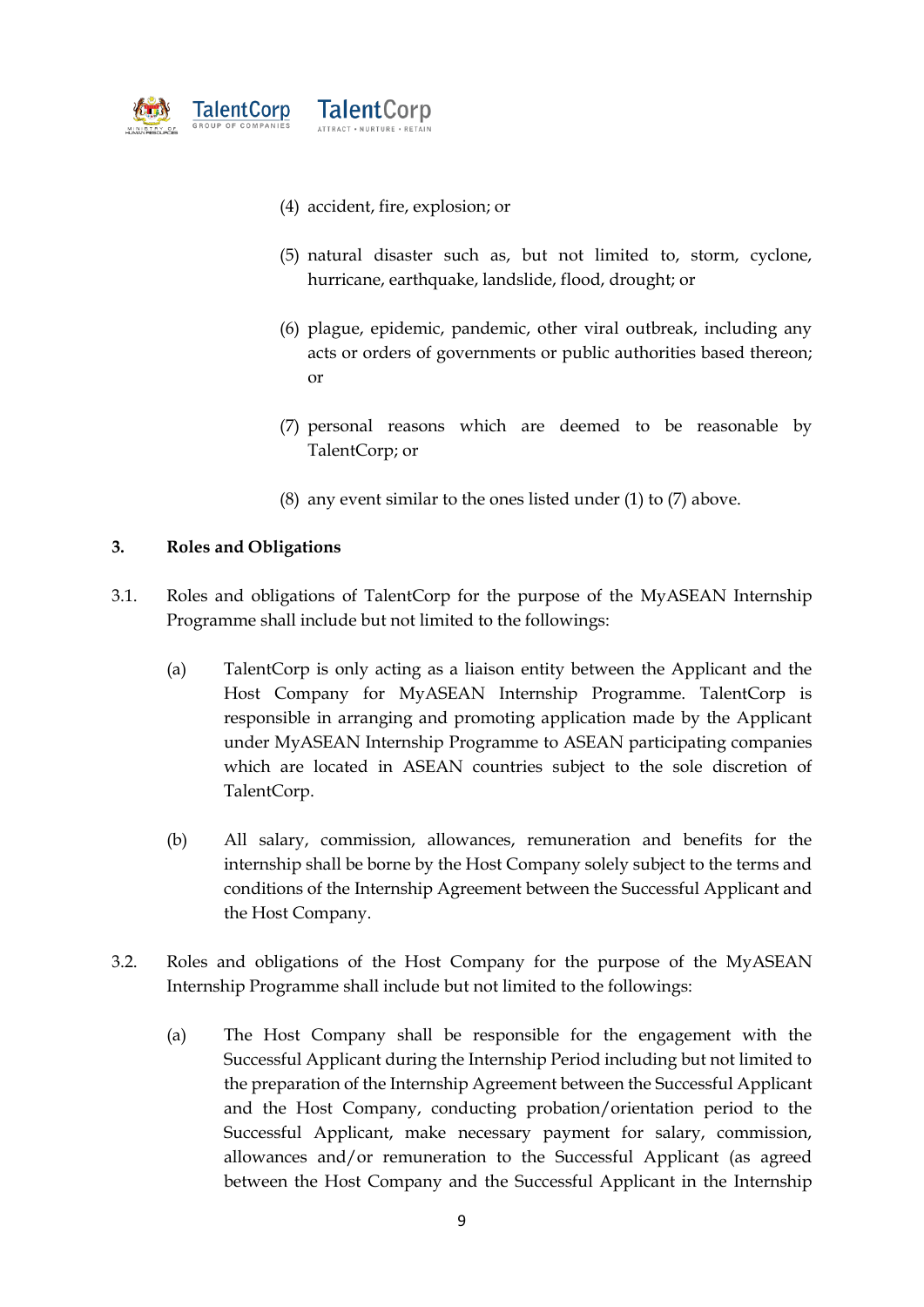

- (4) accident, fire, explosion; or
- (5) natural disaster such as, but not limited to, storm, cyclone, hurricane, earthquake, landslide, flood, drought; or
- (6) plague, epidemic, pandemic, other viral outbreak, including any acts or orders of governments or public authorities based thereon; or
- (7) personal reasons which are deemed to be reasonable by TalentCorp; or
- (8) any event similar to the ones listed under (1) to (7) above.

### **3. Roles and Obligations**

- 3.1. Roles and obligations of TalentCorp for the purpose of the MyASEAN Internship Programme shall include but not limited to the followings:
	- (a) TalentCorp is only acting as a liaison entity between the Applicant and the Host Company for MyASEAN Internship Programme. TalentCorp is responsible in arranging and promoting application made by the Applicant under MyASEAN Internship Programme to ASEAN participating companies which are located in ASEAN countries subject to the sole discretion of TalentCorp.
	- (b) All salary, commission, allowances, remuneration and benefits for the internship shall be borne by the Host Company solely subject to the terms and conditions of the Internship Agreement between the Successful Applicant and the Host Company.
- 3.2. Roles and obligations of the Host Company for the purpose of the MyASEAN Internship Programme shall include but not limited to the followings:
	- (a) The Host Company shall be responsible for the engagement with the Successful Applicant during the Internship Period including but not limited to the preparation of the Internship Agreement between the Successful Applicant and the Host Company, conducting probation/orientation period to the Successful Applicant, make necessary payment for salary, commission, allowances and/or remuneration to the Successful Applicant (as agreed between the Host Company and the Successful Applicant in the Internship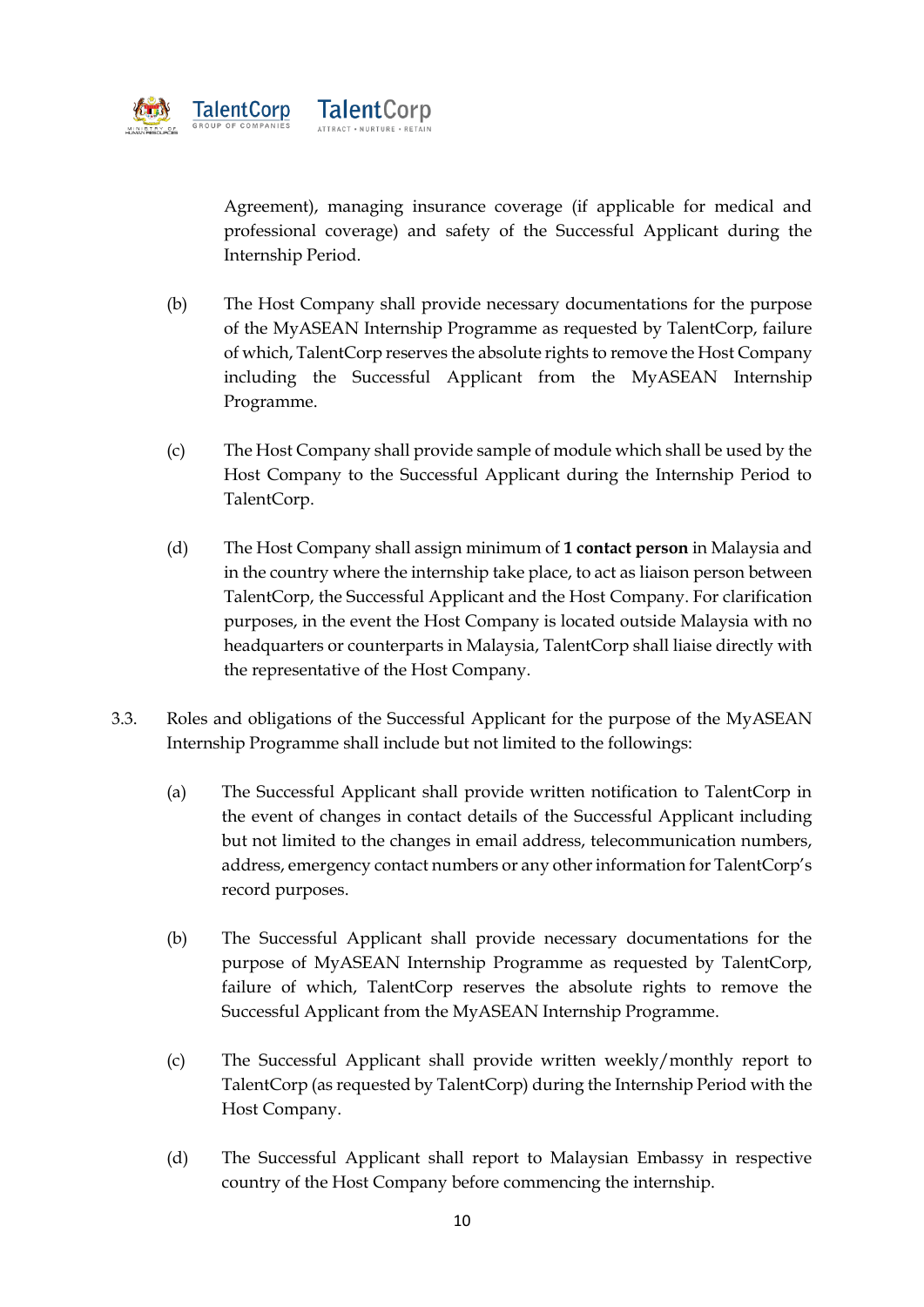

Agreement), managing insurance coverage (if applicable for medical and professional coverage) and safety of the Successful Applicant during the Internship Period.

- (b) The Host Company shall provide necessary documentations for the purpose of the MyASEAN Internship Programme as requested by TalentCorp, failure of which, TalentCorp reserves the absolute rights to remove the Host Company including the Successful Applicant from the MyASEAN Internship Programme.
- (c) The Host Company shall provide sample of module which shall be used by the Host Company to the Successful Applicant during the Internship Period to TalentCorp.
- (d) The Host Company shall assign minimum of **1 contact person** in Malaysia and in the country where the internship take place, to act as liaison person between TalentCorp, the Successful Applicant and the Host Company. For clarification purposes, in the event the Host Company is located outside Malaysia with no headquarters or counterparts in Malaysia, TalentCorp shall liaise directly with the representative of the Host Company.
- 3.3. Roles and obligations of the Successful Applicant for the purpose of the MyASEAN Internship Programme shall include but not limited to the followings:
	- (a) The Successful Applicant shall provide written notification to TalentCorp in the event of changes in contact details of the Successful Applicant including but not limited to the changes in email address, telecommunication numbers, address, emergency contact numbers or any other information for TalentCorp's record purposes.
	- (b) The Successful Applicant shall provide necessary documentations for the purpose of MyASEAN Internship Programme as requested by TalentCorp, failure of which, TalentCorp reserves the absolute rights to remove the Successful Applicant from the MyASEAN Internship Programme.
	- (c) The Successful Applicant shall provide written weekly/monthly report to TalentCorp (as requested by TalentCorp) during the Internship Period with the Host Company.
	- (d) The Successful Applicant shall report to Malaysian Embassy in respective country of the Host Company before commencing the internship.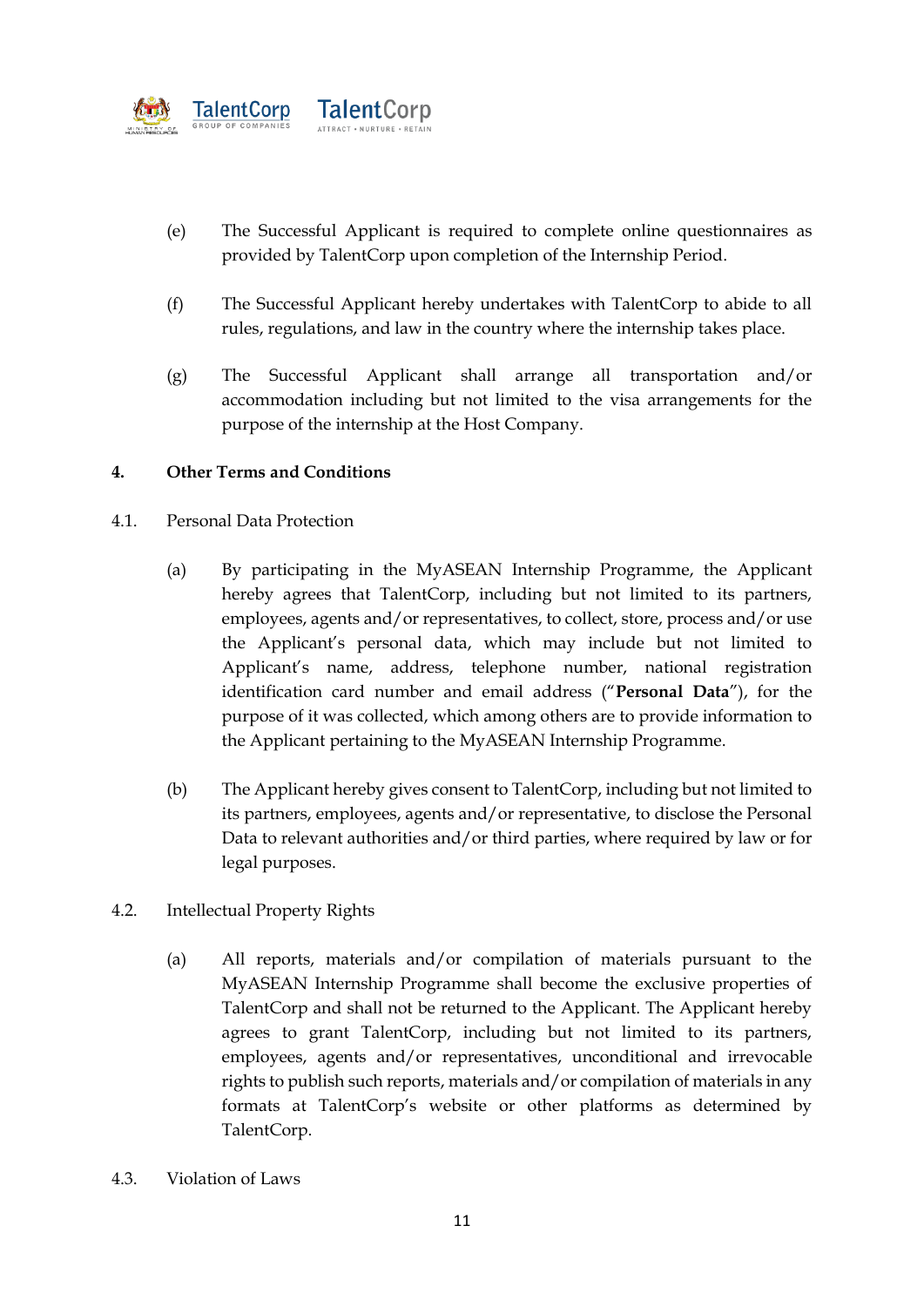

- (e) The Successful Applicant is required to complete online questionnaires as provided by TalentCorp upon completion of the Internship Period.
- (f) The Successful Applicant hereby undertakes with TalentCorp to abide to all rules, regulations, and law in the country where the internship takes place.
- (g) The Successful Applicant shall arrange all transportation and/or accommodation including but not limited to the visa arrangements for the purpose of the internship at the Host Company.

### **4. Other Terms and Conditions**

- 4.1. Personal Data Protection
	- (a) By participating in the MyASEAN Internship Programme, the Applicant hereby agrees that TalentCorp, including but not limited to its partners, employees, agents and/or representatives, to collect, store, process and/or use the Applicant's personal data, which may include but not limited to Applicant's name, address, telephone number, national registration identification card number and email address ("**Personal Data**"), for the purpose of it was collected, which among others are to provide information to the Applicant pertaining to the MyASEAN Internship Programme.
	- (b) The Applicant hereby gives consent to TalentCorp, including but not limited to its partners, employees, agents and/or representative, to disclose the Personal Data to relevant authorities and/or third parties, where required by law or for legal purposes.
- 4.2. Intellectual Property Rights
	- (a) All reports, materials and/or compilation of materials pursuant to the MyASEAN Internship Programme shall become the exclusive properties of TalentCorp and shall not be returned to the Applicant. The Applicant hereby agrees to grant TalentCorp, including but not limited to its partners, employees, agents and/or representatives, unconditional and irrevocable rights to publish such reports, materials and/or compilation of materials in any formats at TalentCorp's website or other platforms as determined by TalentCorp.
- 4.3. Violation of Laws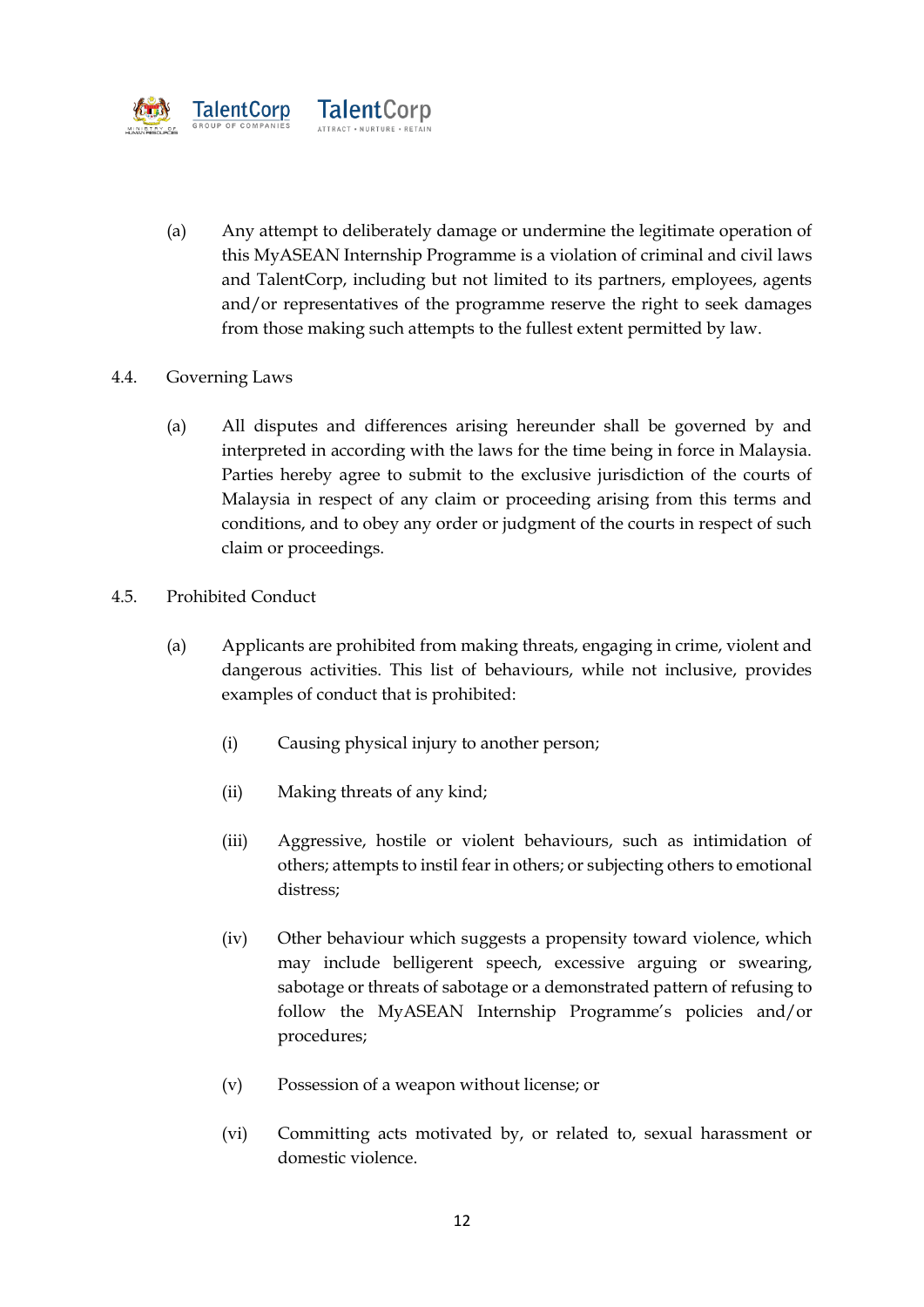

(a) Any attempt to deliberately damage or undermine the legitimate operation of this MyASEAN Internship Programme is a violation of criminal and civil laws and TalentCorp, including but not limited to its partners, employees, agents and/or representatives of the programme reserve the right to seek damages from those making such attempts to the fullest extent permitted by law.

# 4.4. Governing Laws

- (a) All disputes and differences arising hereunder shall be governed by and interpreted in according with the laws for the time being in force in Malaysia. Parties hereby agree to submit to the exclusive jurisdiction of the courts of Malaysia in respect of any claim or proceeding arising from this terms and conditions, and to obey any order or judgment of the courts in respect of such claim or proceedings.
- 4.5. Prohibited Conduct
	- (a) Applicants are prohibited from making threats, engaging in crime, violent and dangerous activities. This list of behaviours, while not inclusive, provides examples of conduct that is prohibited:
		- (i) Causing physical injury to another person;
		- (ii) Making threats of any kind;
		- (iii) Aggressive, hostile or violent behaviours, such as intimidation of others; attempts to instil fear in others; or subjecting others to emotional distress;
		- (iv) Other behaviour which suggests a propensity toward violence, which may include belligerent speech, excessive arguing or swearing, sabotage or threats of sabotage or a demonstrated pattern of refusing to follow the MyASEAN Internship Programme's policies and/or procedures;
		- (v) Possession of a weapon without license; or
		- (vi) Committing acts motivated by, or related to, sexual harassment or domestic violence.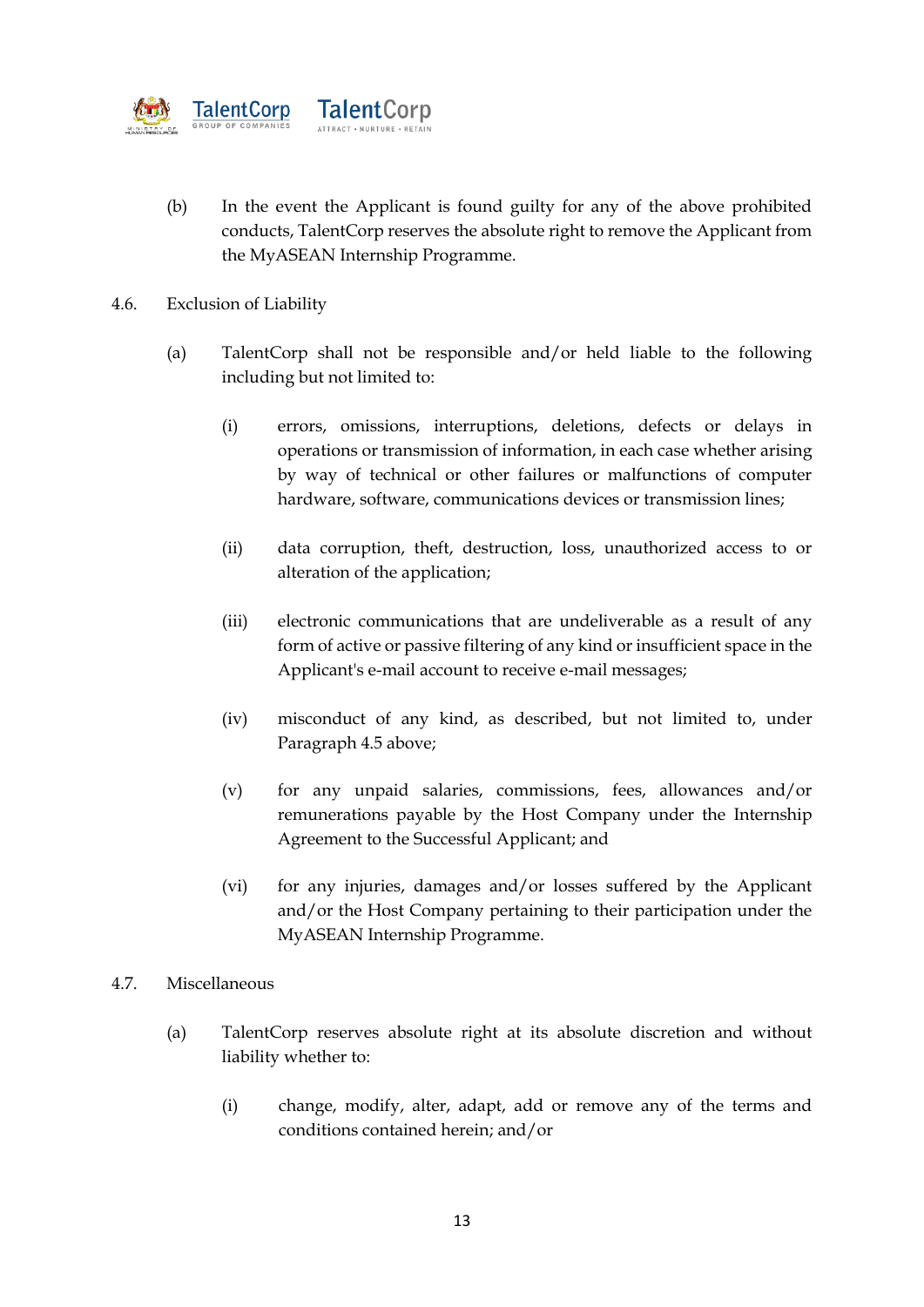

- (b) In the event the Applicant is found guilty for any of the above prohibited conducts, TalentCorp reserves the absolute right to remove the Applicant from the MyASEAN Internship Programme.
- 4.6. Exclusion of Liability
	- (a) TalentCorp shall not be responsible and/or held liable to the following including but not limited to:
		- (i) errors, omissions, interruptions, deletions, defects or delays in operations or transmission of information, in each case whether arising by way of technical or other failures or malfunctions of computer hardware, software, communications devices or transmission lines;
		- (ii) data corruption, theft, destruction, loss, unauthorized access to or alteration of the application;
		- (iii) electronic communications that are undeliverable as a result of any form of active or passive filtering of any kind or insufficient space in the Applicant's e-mail account to receive e-mail messages;
		- (iv) misconduct of any kind, as described, but not limited to, under Paragraph 4.5 above;
		- (v) for any unpaid salaries, commissions, fees, allowances and/or remunerations payable by the Host Company under the Internship Agreement to the Successful Applicant; and
		- (vi) for any injuries, damages and/or losses suffered by the Applicant and/or the Host Company pertaining to their participation under the MyASEAN Internship Programme.
- 4.7. Miscellaneous
	- (a) TalentCorp reserves absolute right at its absolute discretion and without liability whether to:
		- (i) change, modify, alter, adapt, add or remove any of the terms and conditions contained herein; and/or